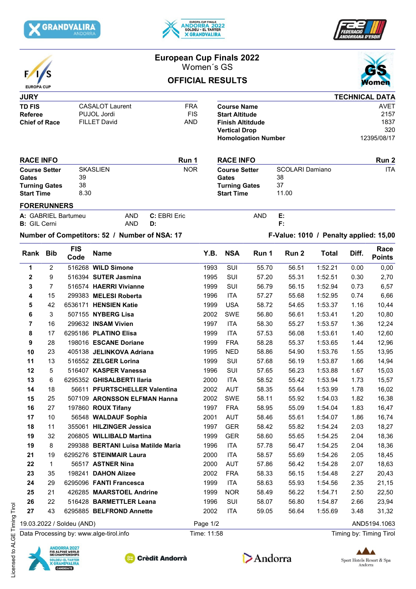





|                                                                            |                |                                                              | <b>European Cup Finals 2022</b>               |                    |                                        |                                                                                                                              |                         |            |                                             |              |                                                   |                         |
|----------------------------------------------------------------------------|----------------|--------------------------------------------------------------|-----------------------------------------------|--------------------|----------------------------------------|------------------------------------------------------------------------------------------------------------------------------|-------------------------|------------|---------------------------------------------|--------------|---------------------------------------------------|-------------------------|
|                                                                            |                |                                                              | Women's GS                                    |                    |                                        |                                                                                                                              |                         |            |                                             |              |                                                   |                         |
| <b>EUROPA CUP</b>                                                          |                |                                                              |                                               |                    |                                        |                                                                                                                              | <b>OFFICIAL RESULTS</b> |            |                                             |              |                                                   | omen                    |
| <b>JURY</b>                                                                |                |                                                              |                                               |                    |                                        |                                                                                                                              |                         |            |                                             |              |                                                   | <b>TECHNICAL DATA</b>   |
| <b>TD FIS</b><br><b>Referee</b><br><b>Chief of Race</b>                    |                | <b>CASALOT Laurent</b><br>PUJOL Jordi<br><b>FILLET David</b> |                                               |                    | <b>FRA</b><br><b>FIS</b><br><b>AND</b> | <b>Course Name</b><br><b>Start Altitude</b><br><b>Finish Altitdude</b><br><b>Vertical Drop</b><br><b>Homologation Number</b> |                         |            |                                             |              | <b>AVET</b><br>2157<br>1837<br>320<br>12395/08/17 |                         |
|                                                                            |                |                                                              |                                               |                    |                                        |                                                                                                                              |                         |            |                                             |              |                                                   |                         |
| <b>RACE INFO</b>                                                           |                |                                                              | Run 1                                         |                    |                                        |                                                                                                                              | <b>RACE INFO</b>        |            |                                             |              | Run 2<br><b>ITA</b>                               |                         |
| <b>Course Setter</b><br>Gates<br><b>Turning Gates</b><br><b>Start Time</b> |                | <b>SKASLIEN</b><br>39<br>38<br>8.30                          |                                               |                    | <b>NOR</b>                             | <b>Course Setter</b><br>Gates<br><b>Turning Gates</b><br><b>Start Time</b>                                                   |                         |            | <b>SCOLARI Damiano</b><br>38<br>37<br>11.00 |              |                                                   |                         |
| <b>FORERUNNERS</b>                                                         |                |                                                              |                                               |                    |                                        |                                                                                                                              |                         |            |                                             |              |                                                   |                         |
| <b>B:</b> GIL Cerni                                                        |                | A: GABRIEL Bartumeu                                          | AND<br><b>AND</b>                             | C: EBRI Eric<br>D: |                                        |                                                                                                                              |                         | <b>AND</b> | Е.<br>F:                                    |              |                                                   |                         |
|                                                                            |                |                                                              | Number of Competitors: 52 / Number of NSA: 17 |                    |                                        |                                                                                                                              |                         |            | F-Value: 1010 / Penalty applied: 15,00      |              |                                                   |                         |
| Rank Bib                                                                   |                | <b>FIS</b><br>Code                                           | <b>Name</b>                                   |                    |                                        | Y.B.                                                                                                                         | <b>NSA</b>              | Run 1      | Run <sub>2</sub>                            | <b>Total</b> | Diff.                                             | Race<br><b>Points</b>   |
| 1                                                                          | $\overline{2}$ |                                                              | 516268 WILD Simone                            |                    |                                        | 1993                                                                                                                         | SUI                     | 55.70      | 56.51                                       | 1:52.21      | 0.00                                              | 0,00                    |
| 2                                                                          | 9              |                                                              | 516394 SUTER Jasmina                          |                    |                                        | 1995                                                                                                                         | SUI                     | 57.20      | 55.31                                       | 1:52.51      | 0.30                                              | 2,70                    |
| 3                                                                          | 7              |                                                              | 516574 HAERRI Vivianne                        |                    |                                        | 1999                                                                                                                         | SUI                     | 56.79      | 56.15                                       | 1:52.94      | 0.73                                              | 6,57                    |
| 4                                                                          | 15             |                                                              | 299383 MELESI Roberta                         |                    |                                        | 1996                                                                                                                         | <b>ITA</b>              | 57.27      | 55.68                                       | 1:52.95      | 0.74                                              | 6,66                    |
| 5                                                                          | 42             |                                                              | 6536171 HENSIEN Katie                         |                    |                                        | 1999                                                                                                                         | <b>USA</b>              | 58.72      | 54.65                                       | 1:53.37      | 1.16                                              | 10,44                   |
| 6                                                                          | 3              |                                                              | 507155 NYBERG Lisa                            |                    |                                        | 2002                                                                                                                         | <b>SWE</b>              | 56.80      | 56.61                                       | 1:53.41      | 1.20                                              | 10,80                   |
| 7                                                                          | 16             |                                                              | 299632 INSAM Vivien                           |                    |                                        | 1997                                                                                                                         | <b>ITA</b>              | 58.30      | 55.27                                       | 1:53.57      | 1.36                                              | 12,24                   |
| 8                                                                          | 17             |                                                              | 6295186 PLATINO Elisa                         |                    |                                        | 1999                                                                                                                         | <b>ITA</b>              | 57.53      | 56.08                                       | 1:53.61      | 1.40                                              | 12,60                   |
| 9                                                                          | 28             |                                                              | 198016 ESCANE Doriane                         |                    |                                        | 1999                                                                                                                         | <b>FRA</b>              | 58.28      | 55.37                                       | 1:53.65      | 1.44                                              | 12,96                   |
| 10                                                                         | 23             |                                                              | 405138 JELINKOVA Adriana                      |                    |                                        | 1995                                                                                                                         | <b>NED</b>              | 58.86      | 54.90                                       | 1:53.76      | 1.55                                              | 13,95                   |
| 11                                                                         | 13             |                                                              | 516552 ZELGER Lorina                          |                    |                                        | 1999                                                                                                                         | <b>SUI</b>              | 57.68      | 56.19                                       | 1:53.87      | 1.66                                              | 14,94                   |
| 12                                                                         | 5              |                                                              | 516407 KASPER Vanessa                         |                    |                                        | 1996                                                                                                                         | SUI                     | 57.65      | 56.23                                       | 1:53.88      | 1.67                                              | 15,03                   |
| 13                                                                         | 6              |                                                              | 6295352 GHISALBERTI Ilaria                    |                    |                                        | 2000                                                                                                                         | <b>ITA</b>              | 58.52      | 55.42                                       | 1:53.94      | 1.73                                              | 15,57                   |
| 14                                                                         | 18             |                                                              | 56611 PFURTSCHELLER Valentina                 |                    |                                        | 2002                                                                                                                         | <b>AUT</b>              | 58.35      | 55.64                                       | 1:53.99      | 1.78                                              | 16,02                   |
| 15                                                                         | 25             |                                                              | 507109 ARONSSON ELFMAN Hanna                  |                    |                                        | 2002                                                                                                                         | SWE                     | 58.11      | 55.92                                       | 1:54.03      | 1.82                                              | 16,38                   |
| 16                                                                         | 27             |                                                              | 197860 ROUX Tifany                            |                    |                                        | 1997                                                                                                                         | <b>FRA</b>              | 58.95      | 55.09                                       | 1:54.04      | 1.83                                              | 16,47                   |
| 17                                                                         | 10             |                                                              | 56548 WALDAUF Sophia                          |                    |                                        | 2001                                                                                                                         | AUT                     | 58.46      | 55.61                                       | 1:54.07      | 1.86                                              | 16,74                   |
| 18                                                                         | 11             |                                                              | 355061 HILZINGER Jessica                      |                    |                                        | 1997                                                                                                                         | <b>GER</b>              | 58.42      | 55.82                                       | 1:54.24      | 2.03                                              | 18,27                   |
| 19                                                                         | 32             |                                                              | 206805 WILLIBALD Martina                      |                    |                                        | 1999                                                                                                                         | <b>GER</b>              | 58.60      | 55.65                                       | 1:54.25      | 2.04                                              | 18,36                   |
| 19                                                                         | 8              |                                                              | 299388 BERTANI Luisa Matilde Maria            |                    |                                        | 1996                                                                                                                         | <b>ITA</b>              | 57.78      | 56.47                                       | 1:54.25      | 2.04                                              | 18,36                   |
| 21                                                                         | 19             |                                                              | 6295276 STEINMAIR Laura                       |                    |                                        | 2000                                                                                                                         | <b>ITA</b>              | 58.57      | 55.69                                       | 1:54.26      | 2.05                                              | 18,45                   |
| 22                                                                         | 1              |                                                              | 56517 ASTNER Nina                             |                    |                                        | 2000                                                                                                                         | <b>AUT</b>              | 57.86      | 56.42                                       | 1:54.28      | 2.07                                              | 18,63                   |
| 23                                                                         | 35             |                                                              | 198241 DAHON Alizee                           |                    |                                        | 2002                                                                                                                         | <b>FRA</b>              | 58.33      | 56.15                                       | 1:54.48      | 2.27                                              | 20,43                   |
| 24                                                                         | 29             |                                                              | 6295096 FANTI Francesca                       |                    |                                        | 1999                                                                                                                         | <b>ITA</b>              | 58.63      | 55.93                                       | 1:54.56      | 2.35                                              | 21,15                   |
| 25                                                                         | 21             |                                                              | 426285 MAARSTOEL Andrine                      |                    |                                        | 1999                                                                                                                         | <b>NOR</b>              | 58.49      | 56.22                                       | 1:54.71      | 2.50                                              | 22,50                   |
| 26                                                                         | 22             |                                                              | 516428 BARMETTLER Leana                       |                    |                                        | 1996                                                                                                                         | SUI                     | 58.07      | 56.80                                       | 1:54.87      | 2.66                                              | 23,94                   |
| 27                                                                         | 43             |                                                              | 6295885 BELFROND Annette                      |                    |                                        | 2002                                                                                                                         | <b>ITA</b>              | 59.05      | 56.64                                       | 1:55.69      | 3.48                                              | 31,32                   |
|                                                                            |                | 19.03.2022 / Soldeu (AND)                                    |                                               |                    | Page 1/2                               |                                                                                                                              |                         |            |                                             |              |                                                   | AND5194.1063            |
|                                                                            |                |                                                              | Data Processing by: www.alge-tirol.info       |                    | Time: 11:58                            |                                                                                                                              |                         |            |                                             |              |                                                   | Timing by: Timing Tirol |